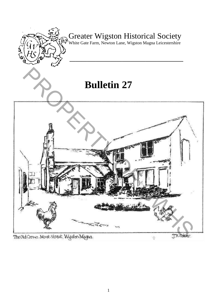

# Greater Wigston Historical Society

White Gate Farm, Newton Lane, Wigston Magna Leicestershire

**\_\_\_\_\_\_\_\_\_\_\_\_\_\_\_\_\_\_\_\_\_\_\_\_\_\_\_\_\_\_\_\_\_\_\_\_\_\_\_** 

# **Bulletin 27**

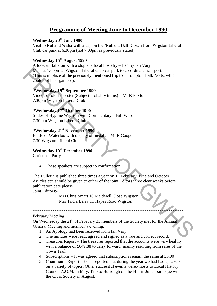# **Programme of Meeting June to December 1990**

## **Wednesday 20th June 1990**

Visit to Rutland Water with a trip on the "Rutland Bell" Coach from Wigston Liberal Club car park at 6.30pm (not 7.00pm as previously stated)

## **Wednesday 15th August 1990**

A look at Hallaton with a stop at a local hostelry – Led by Ian Vary Meet at 7.00pm at Wigston Liberal Club car park to co-ordinate transport. (This is in place of the previously mentioned trip to Thrumpton Hall, Notts, which could not be organised). We at at 7.00pm at Wigston Liheral Club car park to co-ordinate transport.<br>
(This is in place of the previously mentioned trip to Thrumpton Hall, Notts, which<br>
could not be organised).<br> **EVERTHE TO SUPERTY CONSECT CONSECT** 

# **\*Wednesday 19th September 1990**

Videos of old Leicester (Subject probably trams) – Mr R Foxton 7.30pm Wigston Liberal Club

# **\*Wednesday 17th October 1990**

Slides of Bygone Wigston with Commentary – Bill Ward 7.30 pm Wigston Liberal Club

## **\*Wednesday 21st November 1990**

Battle of Waterloo with display of medals – Mr R Cooper 7.30 Wigston Liberal Club

## **Wednesday 19th December 1990**

Christmas Party

• These speakers are subject to confirmation.

The Bulletin is published three times a year on  $1<sup>st</sup>$  February, June and October. Articles etc. should be given to either of the joint Editors three clear weeks before publication date please.

Joint Editors:-

Mrs Chris Smart 16 Maidwell Close Wigston Mrs Tricia Berry 11 Hayes Road Wigston

#### February Meeting …

On Wednesday the 21<sup>st</sup> of February 35 members of the Society met for the Annual General Meeting and member's evening.

\*\*\*\*\*\*\*\*\*\*\*\*\*\*\*\*\*\*\*\*\*\*\*\*\*\*\*\*\*\*\*\*\*\*\*\*\*\*\*\*\*\*\*\*\*\*\*\*\*\*\*\*\*\*\*\*\*\*\*\*\*\*\*\*\*\*\*\*\*

- 1. An Apology had been received from Ian Vary
- 2. The minutes were read, agreed and signed as a true and correct record.
- 3. Treasures Report The treasurer reported that the accounts were very healthy with a balance of £649.88 to carry forward, mainly resulting from sales of the Town Trail.
- 4. Subscriptions It was agreed that subscriptions remain the same at  $\text{\pounds}3.00$
- 5. Chairman"s Report Edna reported that during the year we had had speakers on a variety of topics. Other successful events were:- hosts to Local History Council A.G.M. in May; Trip to Burrough on the Hill in June; barbeque with the Civic Society in August.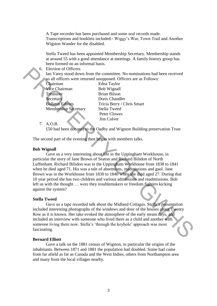A Tape recorder has been purchased and some oral records made. Transcriptions and booklets included:- Wiggy"s War; Town Trail and Another Wigston Wander for the disabled.

Stella Tweed has been appointed Membership Secretary. Membership stands at around 55 with a good attendance at meetings. A family history group has been formed on an informal basis.

#### 6. Election of Officers

Ian Varey stood down from the committee. No nominations had been received so all officers were returned unopposed. Officers are as Follows:

| Chairman                    |
|-----------------------------|
| Vice Chairman               |
| <b>Treasurer</b>            |
| Secretary                   |
| <b>Bulletin Editors</b>     |
| <b>Membership Secretary</b> |
|                             |

Edna Taylor Bob Wignall Brian Bilson Doris Chandler Tricia Berry / Chris Smart Stella Tweed Peter Clowes Jim Colver

7. A.O.B.

£50 had been donated to the Oadby and Wigston Building preservation Trust

The second part of the evening then began with members talks.

#### **Bob Wignall**

 Gave us a very interesting about life in the Uppingham Workhouse, in particular the story of Jane Brown of Seaton and Richard Bilsdon of North Luffenham. Richard Bilsdon was in the Uppingham Workhouse from 1838 to 1841 when he died aged 71. His was a tale of absentions, readmissions and gaol. Jane Brown was in the Workhouse from 1830 to 1840 when she died aged 27. During that 10 year period she has two children and various admissions and readmissions. Bob left us with the thought … were they troublemakers or freedom fighters kicking against the system? Faceton of Officers<br>
In Varey stood down from the committee. No nominations had been received<br>
so all officers were returned unopposed. Officers are as Follows:<br>
The Chairman<br>
The Chairman<br>
Face Chairman<br>
Bub Wignall<br>
The

#### **Stella Tweed**

Gave us a tape recorded talk about the Midland Cottages. Stella"s presentation included interesting photographs of the windows and door of the houses along Twenty Row as it is known. Her take evoked the atmosphere of the early steam days, and included an interview with someone who lived there as a child and another with someone living there now. Stella's 'through the keyhole' approach was most fascinating.

#### **Bernard Elliott**

 Gave a talk on the 1881 census of Wigston, in particular the origins of the inhabitants. Between 1871 and 1881 the population had doubled. Some had come from far afield as far as Canada and the West Indies, others from Northampton area and many from the local villages nearby.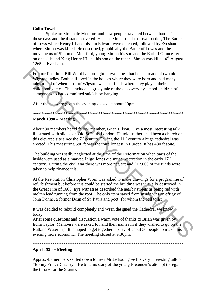### **Colin Towell**

 Spoke on Simon de Montfort and how people travelled between battles in those days and the distance covered. He spoke in particular of two battles, The Battle of Lews where Henry III and his son Edward were defeated, followed by Evesham where Simon was killed. He described, graphically the Battle of Lewes and the movements of Simon de Montford, young Simon his son and the Earl of Gloucester on one side and King Henry III and his son on the other. Simon was killed 4<sup>th</sup> August 1265 at Evesham.

For our final item Bill Ward had brought in two tapes that he had made of two old Wigston ladies. Both still lived in the houses where they were born and had many tales to tell of when most of Wigston was just fields where they played their childhood games. This included a grisly tale of the discovery by school children of someone who had committed suicide by hanging.

After thanks were given the evening closed at about 10pm.

# \*\*\*\*\*\*\*\*\*\*\*\*\*\*\*\*\*\*\*\*\*\*\*\*\*\*\*\*\*\*\*\*\*\*\*\*\*\*\*\*\*\*\*\*\*\*\*\*\*\*\*\*\*\*\*\*\*\*\*\*\*\*\*\*\*\*\*\*\*

### **March 1990 – Meeting**

About 30 members heard fellow member, Brian Bilson, Give a most interesting talk, illustrated with slides, on Old St Pauls London. He told us there had been a church on this elevated site since the  $7<sup>th</sup>$  century. During the  $11<sup>th</sup>$  century a huge cathedral was erected. This measuring 590 ft was the third longest in Europe. It has 430 ft spite.

The building was sadly neglected at the time of the Reformation when parts of the inside were used as a market. Inigo Jones did much restoration in the early  $17<sup>th</sup>$ century. During the civil war there was more neglect and £17,000 of the funds were taken to help finance this.

At the Restoration Christopher Wren was asked to make drawings for a programme of refurbishment but before this could be started the building was virtually destroyed in the Great Fire of 1666. Eye witnesses described the nearby streets as being red with molten lead running from the roof. The only item saved from inside was an effigy of John Donne, a former Dean of St. Pauls and poet "for whom the bell tolls: For our final item Bill Ward had brought in two tapes that he had made of two old<br>Wigston halls Both still lived in the houses where they were born and had many<br>ratists to religion. Both still lived in the houses where th

It was decided to rebuild completely and Wren designed the Cathedral we know today.

After some questions and discussion a warm vote of thanks to Brian was given by Edna Taylor. Members were asked to hand their names in if they wished to go on the Rutland Water trip. It is hoped to get together a party of about 50 people to make this evening more economic. The meeting closed at 9:30pm.

#### \*\*\*\*\*\*\*\*\*\*\*\*\*\*\*\*\*\*\*\*\*\*\*\*\*\*\*\*\*\*\*\*\*\*\*\*\*\*\*\*\*\*\*\*\*\*\*\*\*\*\*\*\*\*\*\*\*\*\*\*\*\*\*\*\*\*\*\*\*

## **April 1990 – Meeting**

Approx 45 members settled down to hear Mr Jackson give his very interesting talk on "Bonny Prince Charley". He told his story of the young Pretender"s attempt to regain the throne for the Stuarts.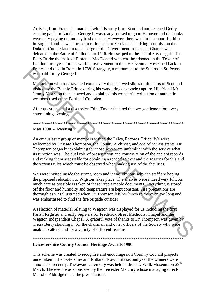Arriving from France he marched with his army from Scotland and reached Derby causing panic in London. George II was ready packed to go to Hanover and the banks were only paying out money in sixpences. However, there was little support for him in England and he was forced to retire back to Scotland. The King sent his son the Duke of Cumberland to take charge of the Government troops and Charles was defeated at the Battle of Culloden in 1746. He escaped to the Isle of Shy disguised as Betty Burke the maid of Florence MacDonald who was imprisoned in the Tower of London for a year for her willing involvement in this. He eventually escaped back to France and died in Rome in 1788. Strangely, a monument to the Stuarts in St. Peters was paid for by George II.

Mr Jackson who has travelled extensively then showed slides of the parts of Scotland visited by the Bonnie Prince during his wanderings to evade capture. His friend Mr Jimmy Morrison then showed and explained his wonderful collection of authentic weapons used at the Battle of Culloden.

After questions and a discussion Edna Taylor thanked the two gentlemen for a very entertaining evening.

\*\*\*\*\*\*\*\*\*\*\*\*\*\*\*\*\*\*\*\*\*\*\*\*\*\*\*\*\*\*\*\*\*\*\*\*\*\*\*\*\*\*\*\*\*\*\*\*\*\*\*\*\*\*\*\*\*\*\*\*\*\*\*\*\*\*\*\*\*

## **May 1990 - Meeting**

An enthusiastic group of members visited the Leics, Records Office. We were welcomed by Dr Kate Thompson, the County Archivist, and one of her assistants. Dr Thompson began by explaining for those who were unfamiliar with the service what its function was. The dual role of preservation and conservation of the ancient records and making them assessable for obtaining a reader's ticket and the reasons for this and the various rules which must be observed when making use of the facilities. Frame and died in Rome in 1788. Strangely, a monument to the Stuarts in St. Peters<br>was paid for by George II. The strangely amountent to the Stuarts of Scotland<br>with the Bonnie Prince during his wunderings to evade captur

We were invited inside the strong room and it was obvious why the staff are hoping the proposed relocation to Wigston takes place. The shelves were indeed very full. As much care as possible is taken of these irreplaceable documents. Everything is stored off the floor and humidity and temperature are kept constant. Fire precautions are thorough as was illustrated when Dr Thomson left her lunch in the oven too long and was embarrassed to find the fire brigade outside!

A selection of material relating to Wigston was displayed for us including the first Parish Register and early registers for Frederick Street Methodist Chapel and the Wigston Independent Chapel. A grateful vote of thanks to Dr Thompson was given by Tricia Berry standing in for the chairman and other officers of the Society who were unable to attend and for a variety of different reasons.

## \*\*\*\*\*\*\*\*\*\*\*\*\*\*\*\*\*\*\*\*\*\*\*\*\*\*\*\*\*\*\*\*\*\*\*\*\*\*\*\*\*\*\*\*\*\*\*\*\*\*\*\*\*\*\*\*\*\*\*\*\*\*\*\*\*\*\*\*\*

#### **Leicestershire County Council Heritage Awards 1990**

This scheme was created to recognise and encourage non Country Council projects undertaken in Leicestershire and Rutland. Now in its second year the winners were announced recently. The award ceremony was held at the new Walk Museum on 29<sup>th</sup> March. The event was sponsored by the Leicester Mercury whose managing director Mr John Aldridge made the presentations.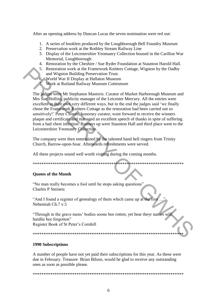After an opening address by Duncan Lucas the seven nomination were red out:

- 1. A series of booklets produced by the Loughborough Bell Foundry Museum
- 2. Preservation work at the Rothley Stream Railway Line
- 3. Display of the Leicestershire Yeomanry Collection housed in the Carillon War Memorial, Loughborough.
- 4. Restoration by the Cheshire / Sue Ryder Foundation at Staunton Harold Hall.
- 5. Restoration work at the Framework Knitters Cottage, Wigston by the Oadby and Wigston Building Preservation Trust.
- 6. World War II Display at Hallaton Museum
	- 7. Work at Rutland Railway Museum Cottesmore

The judges were Mr Stephanos Mastoris. Curator of Market Harborough Museum and Mrs Sue Hollins, publicity manager of the Leicester Mercury. All the entries were excellent in their own very different ways, but in the end the judges said "we finally chose the Framework Knitters Cottage as the restoration had been carried out so sensitively!" Peter Clowes, honorary curator, went forward to receive the winners plaque and certificate and managed an excellent speech of thanks in spite of suffering from a bad chest infection. Runners up were Staunton Hall and third place went to the Leicestershire Yeomanry Collection. 5. Restoration work at the Framework Knitters Cottage, Wigston by the Oadby<br>and Wigston Building Preservation Trust.<br>Conserved War II Display at Hallaton Museum<br>The independent Railway Museum Cottensore<br>The independent Mu

The company were then entertained by the talented hand bell ringers from Trinity Church, Barrow-upon-Soar. Afterwards refreshments were served.

All these projects sound well worth visiting during the coming months.

\*\*\*\*\*\*\*\*\*\*\*\*\*\*\*\*\*\*\*\*\*\*\*\*\*\*\*\*\*\*\*\*\*\*\*\*\*\*\*\*\*\*\*\*\*\*\*\*\*\*\*\*\*\*\*\*\*\*\*\*\*\*\*\*\*\*\*\*\*

#### **Quotes of the Month**

"No man really becomes a fool until he stops asking questions" Charles P Steinetz

"And I found a register of genealogy of them which came up at the first Nehemiah Ch.7 v.5

"Through in the grave mens" bodies soone bee rotten; yet hear theyr names will hardlie bee forgotton" Register Book of St Peter"s Cornhill

\*\*\*\*\*\*\*\*\*\*\*\*\*\*\*\*\*\*\*\*\*\*\*\*\*\*\*\*\*\*\*\*\*\*\*\*\*\*\*\*\*\*\*\*\*\*\*\*\*\*\*\*\*\*\*\*\*\*\*\*\*\*\*\*\*\*\*\*\*

#### **1990 Subscriptions**

A number of people have not yet paid their subscriptions for this year. As these were due in February. Treasure Brian Bilson, would be glad to receive any outstanding ones as soon as possible please.

\*\*\*\*\*\*\*\*\*\*\*\*\*\*\*\*\*\*\*\*\*\*\*\*\*\*\*\*\*\*\*\*\*\*\*\*\*\*\*\*\*\*\*\*\*\*\*\*\*\*\*\*\*\*\*\*\*\*\*\*\*\*\*\*\*\*\*\*\*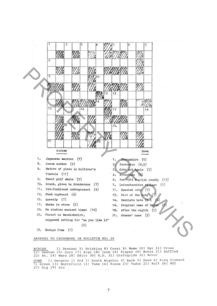

1) Dresser 5) Drinking 8) Crest 9) Name 10} Eat 11) Crown ACROSS 12) Owston 15) Corn 17) Sign 18) Iron 19) Elapse 20) Motte 21) Baffled<br>22) St. 24) Warn 28) Edits 30) A.D. 31) Craftgilds 32) Actor DOWN 1) Dungeon 2) End 3) South Wigston 4) Rack 5) Deed 6) King Richard<br>7) Green 13) Northfield 14) Tune 16) Roses 23) Tudor 25) Ruff 26) MDC 27) Dig 29) Sic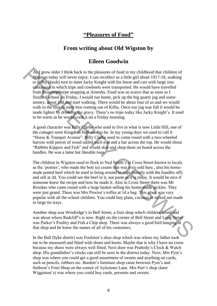# **"Pleasures of Food"**

# **From writing about Old Wigston by**

# **Eileen Goodwin**

As I grow older I think back to the pleasures of food in my childhood that children of Wigston today will never enjoy. I can recollect as a little girl about 1917-18, walking to Kilby (knob) turn to meet Jacky Knight with his horse and cart with large zinc containers in which tripe and cowheels were transported. He would have travelled from Bruntingthorpe stopping at Arnesby. Food was so scarce that as soon as I finished school on Friday, I would run home, pick up the big quartz jug and some money, about 10d and start walking. There would be about four of us and we would walk to the turn to meet him coming out of Kilby. Once our jug was full it would be made lighter by drinking the gravy. There's no tripe today like Jacky Knight's. It used to be warm as he would cook it on a Friday morning. As I grow older I think back to the pleasures of food in my childhood that children of Ways for boday will mever enjoy. I can recolled as a little girl about 1917-18, walking to Kffb); knob) turn to meet Jack/s Knight wit

A good character was Billy Clarke who used to live in what is now Little Hill, one of the cottages were Kingdom Hall used to be. In my young days we used to call it "Horse & Trumpet Avenue". Billy Clarke used to come round with a two-wheeled barrow with pieces of wood nailed each end and a bar across the top. He would shout "Rabbits Kippers and Fish" and would skin and chop them on board across the handles. He was a lame but likeable man.

The children in Wigston used to flock to Ned Smith"s in Cross Street known to locals as the 'posties', who made the best ice cream that was ever sold here., also his homemade potted beef which he used to bring around in cups (mostly with the handles off) and sell at 3d. You could see the beef in it, not paste as it is today. It would be nice if someone knew the recipe and how he made it. Also in Cross Street there was Mr Brookes who came round with a large basket selling his home-made pickles. They were just grand. There was Mrs Proctor's toffee at 1d a bag. This place was very popular with all the school children. You could buy plain, coconut or mixed nut made in large tin trays.

Another shop was Windridge"s in Bell Street, a fruit shop which children loved and was about where Radcliff"s is now. Right on the corner of Bell Street and Long Street was Parker"s Poultry and Fish a Chip shop. There was always a good bird hanging at that shop and he knew the names of all of his customers.

In the Ball Dyke district was Foulston"s shoe shop which was where my father took me to be measured and fitted with shoes and boots. Maybe that is why I have no corns because my shoes were always well fitted. Next door was Peabody"s Clock & Watch shop. His grandfather's clocks can still be seen in the district today. Next, Mrs Pym's shop was where you could get a good assortment of sweets and anything on cards, such as pencils, rubbers etc. Burdett's furniture shop came between Pym's and Snibson"s Fruit Shop on the corner of Aylestone Lane. Mrs Parr"s shop (later Wigginton's) was where you could buy cards, presents and sweets.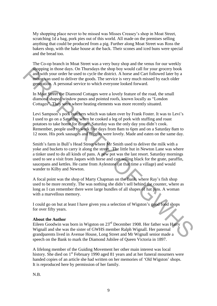My shopping place never to be missed was Misses Creasey"s shop in Moat Street, scratching 1d a bag, pork pies out of this world. All made on the premises selling anything that could be produced from a pig. Further along Moat Street was Ross the bakers shop, with the bake house at the back. Their scones and iced buns were special and the bread too.

The Co-op branch in Moat Street was a very busy shop and the venus for our weekly shopping in those days. On Thursdays the shop boy would call for your grocery book and with your order he used to cycle the district. A horse and Cart followed later by a motor van used to deliver the goods. The service is very much missed by each older generation. A personal service to which everyone looked forward.

In Moat Street the Diamond Cottages were a lovely feature of the road, the small diamond shaped window panes and pointed roofs, known locally as "London Cottages". They were where heating elements was more recently situated.

Levi Sampson's pork butchers which was taken over by Frank Foster. It was to Levi's I used to go on a Saturday when he cooked a leg of pork with stuffing and roast potatoes to take home for dinner. Saturday was the only day you didn"t cook. Remember, people used to work five days from 8am to 6pm and on a Saturday 8am to 12 noon. His pork sausages and faggots were lovely. Made and eaten on the same day.

Smith"s farm in Bull"s Head Street where Mr Smith used to deliver the milk with a yoke and buckets to carry it along the street. The little hut in Newton Lane was where a tinker used to do all kinds of pans. A new pot was the last resort. Saturday mornings used to see a visit from Jaques with horse and cart selling black for the grate, paraffin, saucepans and kettles. He came from Aylestone (at that time a village) and would wander to Kilby and Newton. shapping in those days. On Thursdays the shop boy would call for your grocery book<br>and with your order he used to cycle the district. A horse and Cart followed latter by a<br>moto yan used to deliver the goods. The service i

A focal point was the shop of Marty Chapman on the Bank, where Ray"s fish shop used to be more recently. The was nothing she didn"t sell behind the counter, where as long as I can remember there were large bundles of all shapes of hat pins. A woman with a marvellous memory.

I could go on but at least I have given you a selection of Wigston"s good food shops for over fifty years.

#### **About the Author**

Eileen Goodwin was born in Wigston on 23rd December 1908. Her father was Harry Wignall and she was the sister of GWHS member Ralph Wignall. Her paternal grandparents lived in Avenue House, Long Street and Mr Wignall senior made a speech on the Bank to mark the Diamond Jubilee of Queen Victoria in 1897.

A lifelong member of the Guiding Movement her other main interest was local history. She died on 1<sup>st</sup> February 1990 aged 81 years and at her funeral mourners were handed copies of an article she had written on her memories of "Old Wigston" shops. It is reproduced here by permission of her family.

N.B.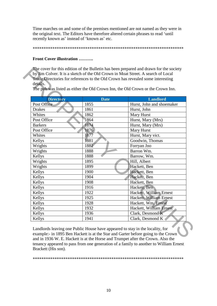Time marches on and some of the premises mentioned are not named as they were in the original text. The Editors have therefore altered certain phrases to read "until recently known as' instead of 'known as' etc.

\*\*\*\*\*\*\*\*\*\*\*\*\*\*\*\*\*\*\*\*\*\*\*\*\*\*\*\*\*\*\*\*\*\*\*\*\*\*\*\*\*\*\*\*\*\*\*\*\*\*\*\*\*\*\*\*\*\*\*\*\*\*\*\*\*\*\*\*\*

## **Front Cover illustration ……….**

| details.         |             | The pub was listed as either the Old Crown Inn, the Old Crown or the Crown Inn. |  |
|------------------|-------------|---------------------------------------------------------------------------------|--|
| <b>Directory</b> | <b>Date</b> | <b>Landlord</b>                                                                 |  |
| Post Office      | 1855        | Hurst, John and shoemaker                                                       |  |
| <b>Drakes</b>    | 1861        | Hurst, John                                                                     |  |
| Whites           | 1862        | Mary Hurst                                                                      |  |
| Post Office      | 1864        | Hurst, Mary (Mrs)                                                               |  |
| <b>Barkers</b>   | 1874        | Hurst, Mary (Mrs)                                                               |  |
| Post Office      | 1876        | Mary Hurst                                                                      |  |
| Whites           | 1877        | Hurst, Mary vict.                                                               |  |
| Kellys           | 1881        | Goodwin, Thomas                                                                 |  |
| Wrights          | 1882        | Forryan Jno                                                                     |  |
| Wrights          | 1888        | Barron Wm.                                                                      |  |
| Kellys           | 1888        | Barrow, Wm.                                                                     |  |
| Wrights          | 1895        | Hill, Albert                                                                    |  |
| Wrights          | 1899        | Hackett, Ben                                                                    |  |
| Kellys           | 1900        | Hackett, Ben                                                                    |  |
| Kellys           | 1904        | Hackett, Ben                                                                    |  |
| Kellys           | 1908        | Hackett, Ben                                                                    |  |
| Kellys           | 1916        | Hackett, Ben                                                                    |  |
| Kellys           | 1922        | Hackett, William Ernest                                                         |  |
| Kellys           | 1925        | Hackett, William Ernest                                                         |  |
| Kellys           | 1928        | Hackett, Wm. Ernest                                                             |  |
| Kellys           | 1932        | Hackett, William Ernest                                                         |  |
| Kellys           | 1936        | Clark, Desmond K                                                                |  |
| Kellys           | 1941        | Clark, Desmond K                                                                |  |

Landlords leaving one Public House have appeared to stay in the locality, for example:- in 1895 Ben Hackett is at the Star and Garter before going to the Crown and in 1936 W. E. Hackett is at the Horse and Trumpet after the Crown. Also the tenancy appeared to pass from one generation of a family to another to William Ernest Brackett (His son).

\*\*\*\*\*\*\*\*\*\*\*\*\*\*\*\*\*\*\*\*\*\*\*\*\*\*\*\*\*\*\*\*\*\*\*\*\*\*\*\*\*\*\*\*\*\*\*\*\*\*\*\*\*\*\*\*\*\*\*\*\*\*\*\*\*\*\*\*\*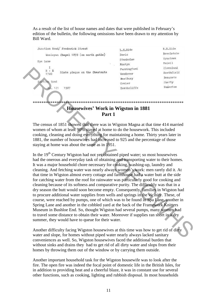As a result of the list of house names and dates that were published in February"s edition of the bulletin, the following omissions have been drawn to my attention by Bill Ward.

| Junction Road/ Frederick Street                   | L.H.Side    | R.R.Side   |  |  |
|---------------------------------------------------|-------------|------------|--|--|
| Wesleyan Chapel 1839 (on north gable)             | Doric       | Revelstoke |  |  |
|                                                   | Stanholme   | Wynstowe   |  |  |
| Spa Lana<br>Slate plaque on the Chestnuts<br>1740 | Mostyn      | Maivil     |  |  |
|                                                   | Farringford | Cleveland  |  |  |
|                                                   | Vendover    | Heathfield |  |  |
|                                                   | Westbury    | Beaumetz   |  |  |
| Road<br>Saarti<br><b>VIES</b>                     | Covier      | Sketty     |  |  |
| 121<br>1907<br>Mа                                 | Reathcliffe | Ramerton   |  |  |
|                                                   |             |            |  |  |
| <b>Housewives' Work in Wigston in 1881</b>        |             |            |  |  |
| Part 1                                            |             |            |  |  |

The census of 1851 showed that there was in Wigston Magna at that time 414 married women of whom at least 90% stayed at home to do the housework. This included cooking, cleaning and doing everything for maintaining a home. Thirty years later in 1881, the number of housewives had increased to 925 and the percentage of those staying at home was about the same as in 1951.

In the  $19<sup>th</sup>$  Century Wigston had not yet obtained piped water; so most housewives had the onerous and everyday task of obtaining and transporting water to their homes. It was a major household chore necessary for cooking, washing-up, laundry and cleaning. And fetching water was nearly always women"s work: men rarely did it. At that time in Wigston almost every cottage and farmhouse had a water butt at the side for catching water from the roof for rainwater was particularly good for cooking and cleaning because of its softness and comparative purity. The difficultly was that in a dry season the butt would soon become empty. Consequently, families in Wigston had to procure additional water supplies from wells and springs in the vicinity. These, of course, were reached by pumps, one of which was to be found in Spa Lane, another in Spring Lane and another in the cobbled yard at the back of the Framework Knitters Museum in Bushloe End. So, thought Wigston had several pumps, many women had to travel some distance to obtain their water. Moreover if supplies ran short in a dry summer, they would have to queue for their water. The state plaque on the characteristic conductive conductive conductive term of the state of the state of the state of the state of the state of the construction of the constrained that the constrained that the energy of

Another difficulty facing Wigston housewives at this time was how to get rid of dirty water and slope, for homes without piped water nearly always lacked sanitary conveniences as well. So, Wigston housewives faced the additional burden that without sinks and drains they had to get rid of all dirty water and slops from their homes by throwing them out of the window or by carrying them outside.

Another important household task for the Wigston housewife was to look after the fire. The open fire was indeed the focal point of domestic life in the British Isles, for in addition to providing heat and a cheerful blaze, it was in constant use for several other functions, such as cooking, lighting and rubbish disposal. In most households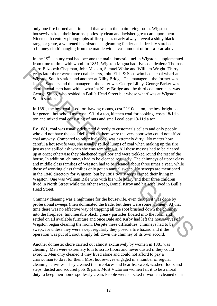only one fire burned at a time and that was in the main living room. Wigston housewives kept their hearths spotlessly clean and lavished great care upon them. Nineteenth century photographs of fire-places nearly always reveal a shiny black range or grate, a whitened hearthstone, a gleaming fender and a freshly starched "chimney cloth" hanging from the mantle with a vast amount of bric-a-brac above.

In the  $19<sup>th</sup>$  century coal had become the main domestic fuel in Wigston, supplemented from time to time with wood. In 1851, Wigston Magna had five coal dealers: Thomas Carr, Elizabeth Chapman, John Meekin, Samuel White and William Wright. Thirty years later there were three coal dealers, John Ellis & Sons who had a coal wharf at Wigston South station and another at Kilby Bridge. The manager at the former was Joseph Sanders and the manager at the latter was George Lilley. George Parker was another coal merchant with a wharf at Kilby Bridge and the third coal merchant was George Shipp, who resided in Bull"s Head Street but whose wharf was at Wigston South station.

In 1881, the best coal used for drawing rooms, cost 22/10d a ton, the best bright coal for general household use cost 19/11d a ton, kitchen coal for cooking costs 18/1d a ton and mixed coal consisting of nuts and small coal cost 13/11d a ton.

By 1881, coal was usually delivered directly to customer"s cellars and only people who did not have the coal delivered to them were the very poor who could not afford coal anyway. Compared to other fuels coal was extremely dirty. No matter how careful a housewife was, she usually spilled lumps of coal when making up the fire just as she spilled ash when she was removing it. All these messes had to be cleared up at once; otherwise they blackened the floor and were trekked round the rest of the house. In addition, chimneys had to be cleaned regularly. The chimneys of upper class and middle class families of Wigston had to be cleaned about three times a year, while those of working class families only got an annual sweep. No sweeps are mentioned in the 1846 directory for Wigston, but by 1881 two sweeps earned their living in Wigston. One was William Bale who with his wife |Mary and their three children lived in North Street while the other sweep, Daniel Kirby and his wife lived in Bull"s Head Street. Carr. Elizabeth Chapman, John Meekin, Samuel White and William Wirght. Thirty and Sultan Wirghts and the mass of the systems South state there were three orel dealers. John Ellis & Sons who had at coal wharf at Wirghts and

Chimney cleaning was a nightmare for the housewife, even though it was done by professional sweeps (men dominated the trade, but there were some women). At that time there was no effective way of trapping all the soot brushed down the chimney into the fireplace. Innumerable black, greasy particles floated into the room and settled on all available furniture and once Bale and Kirby had left the housewives of Wigston began cleaning the room. Despite these difficulties, chimneys had to be swept, for unless they were swept regularly they posed a fire hazard and if the operation was put off, soot simply fell down the chimney of its own accord.

Another domestic chore carried out almost exclusively by women in 1881 was cleaning. Men were extremely loth to scrub floors and never dusted if they could avoid it. Men only cleaned if they lived alone and could not afford to pay a charwoman to do it for them. Most housewives engaged in a number of regular cleaning activities. They cleaned the fireplaces and hearths, swept, washed floors and steps, dusted and scoured pots & pans. Most Victorian women felt it to be a moral duty to keep their home spotlessly clean. People were shocked if women cleaned on a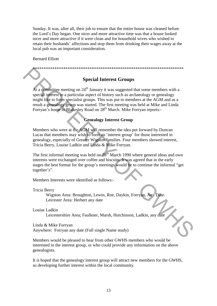Sunday. It was, after all, their job to ensure that the entire house was cleaned before the Lord"s Day began. One nicer and more attractive time was that a house looked nicer and more attractive if it were clean and for household wives who wished to retain their husbands" affections and stop them from drinking their wages away at the local pub was an important consideration.

## Bernard Elliott

\*\*\*\*\*\*\*\*\*\*\*\*\*\*\*\*\*\*\*\*\*\*\*\*\*\*\*\*\*\*\*\*\*\*\*\*\*\*\*\*\*\*\*\*\*\*\*\*\*\*\*\*\*\*\*\*\*\*\*\*\*\*\*\*\*\*\*\*\*

# **Special Interest Groups**

At a committee meeting on  $24<sup>th</sup>$  January it was suggested that some members with a special interest in a particular aspect of history such as archaeology or genealogy might like to form specialist groups. This was put to members at the AGM and as a result a genealogy group was started. The first meeting was held at Mike and Linda Forryan's home in Blakesley Road on 28<sup>th</sup> March. Mike Forryan reports:-Special Interest Groups<br>
Special Interest Groups<br>
At a committee meeting on 24<sup>th</sup> January it was suggested that some members with a<br>
special riders for a particular aspect of history such as a created ogy or genealogy<br>
mi

## **Genealogy Interest Group**

Members who were at the AGM will remember the idea put forward by Duncan Lucas that members may wish to form an "interest group" for those interested in genealogy, especially of Greater Wigston families. Four members showed interest, Tricia Berry, Louise Ladkin and Linda & Mike Forryan.

The first informal meeting was held on  $28<sup>th</sup>$  March 1990 where general ideas and own interests were exchanged over coffee and biscuits. It was agreed that in the early stages the best format for the group"s meetings would be to continue the informal "get together's".

Members Interests were identified as follows:-

Tricia Berry

 Wigston Area: Broughton, Lewin, Roe, Daykin, Forryan, Any Date. Leicester Area: Herbert any date

Louise Ladkin

Leicestershire Area; Faulkner, Marsh, Hutchinson, Ladkin, any date

Linda & Mike Forryan Anywhere: Forryan any date (Full single Name study)

Members would be pleased to hear from other GWHS members who would be interested in the interest group, or who could provide any information on the above genealogists.

It is hoped that the genealogy interest group will attract new members for the GWHS, so developing further interest within the local community.